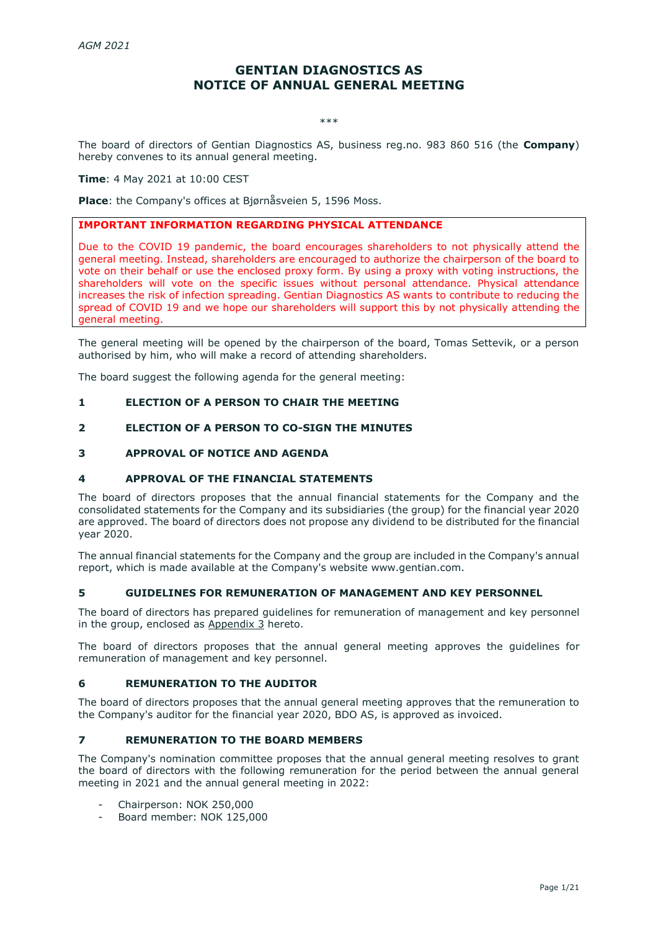# **GENTIAN DIAGNOSTICS AS NOTICE OF ANNUAL GENERAL MEETING**

\*\*\*

The board of directors of Gentian Diagnostics AS, business reg.no. 983 860 516 (the **Company**) hereby convenes to its annual general meeting.

# **Time**: 4 May 2021 at 10:00 CEST

**Place**: the Company's offices at Bjørnåsveien 5, 1596 Moss.

# **IMPORTANT INFORMATION REGARDING PHYSICAL ATTENDANCE**

Due to the COVID 19 pandemic, the board encourages shareholders to not physically attend the general meeting. Instead, shareholders are encouraged to authorize the chairperson of the board to vote on their behalf or use the enclosed proxy form. By using a proxy with voting instructions, the shareholders will vote on the specific issues without personal attendance. Physical attendance increases the risk of infection spreading. Gentian Diagnostics AS wants to contribute to reducing the spread of COVID 19 and we hope our shareholders will support this by not physically attending the general meeting.

The general meeting will be opened by the chairperson of the board, Tomas Settevik, or a person authorised by him, who will make a record of attending shareholders.

The board suggest the following agenda for the general meeting:

#### **1 ELECTION OF A PERSON TO CHAIR THE MEETING**

### **2 ELECTION OF A PERSON TO CO-SIGN THE MINUTES**

## **3 APPROVAL OF NOTICE AND AGENDA**

### **4 APPROVAL OF THE FINANCIAL STATEMENTS**

The board of directors proposes that the annual financial statements for the Company and the consolidated statements for the Company and its subsidiaries (the group) for the financial year 2020 are approved. The board of directors does not propose any dividend to be distributed for the financial year 2020.

The annual financial statements for the Company and the group are included in the Company's annual report, which is made available at the Company's website www.gentian.com.

#### **5 GUIDELINES FOR REMUNERATION OF MANAGEMENT AND KEY PERSONNEL**

The board of directors has prepared guidelines for remuneration of management and key personnel in the group, enclosed as Appendix 3 hereto.

The board of directors proposes that the annual general meeting approves the guidelines for remuneration of management and key personnel.

# **6 REMUNERATION TO THE AUDITOR**

The board of directors proposes that the annual general meeting approves that the remuneration to the Company's auditor for the financial year 2020, BDO AS, is approved as invoiced.

# **7 REMUNERATION TO THE BOARD MEMBERS**

The Company's nomination committee proposes that the annual general meeting resolves to grant the board of directors with the following remuneration for the period between the annual general meeting in 2021 and the annual general meeting in 2022:

- Chairperson: NOK 250,000
- Board member: NOK 125,000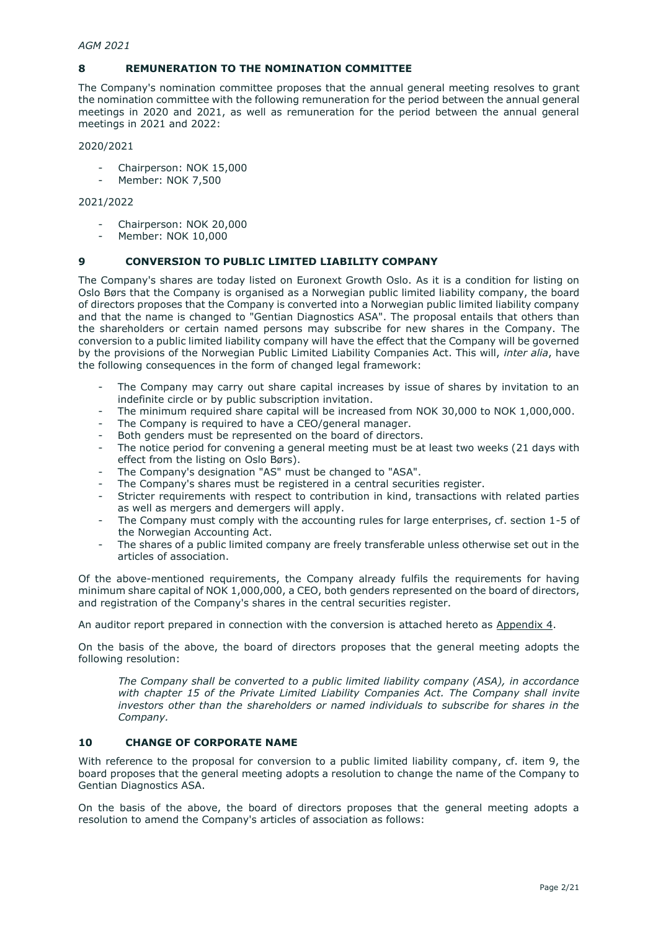# **8 REMUNERATION TO THE NOMINATION COMMITTEE**

The Company's nomination committee proposes that the annual general meeting resolves to grant the nomination committee with the following remuneration for the period between the annual general meetings in 2020 and 2021, as well as remuneration for the period between the annual general meetings in 2021 and 2022:

## 2020/2021

- Chairperson: NOK 15,000
- Member: NOK 7,500

# 2021/2022

- Chairperson: NOK 20,000
- Member: NOK 10,000

# **9 CONVERSION TO PUBLIC LIMITED LIABILITY COMPANY**

The Company's shares are today listed on Euronext Growth Oslo. As it is a condition for listing on Oslo Børs that the Company is organised as a Norwegian public limited liability company, the board of directors proposes that the Company is converted into a Norwegian public limited liability company and that the name is changed to "Gentian Diagnostics ASA". The proposal entails that others than the shareholders or certain named persons may subscribe for new shares in the Company. The conversion to a public limited liability company will have the effect that the Company will be governed by the provisions of the Norwegian Public Limited Liability Companies Act. This will, *inter alia*, have the following consequences in the form of changed legal framework:

- The Company may carry out share capital increases by issue of shares by invitation to an indefinite circle or by public subscription invitation.
- The minimum required share capital will be increased from NOK 30,000 to NOK 1,000,000.
- The Company is required to have a CEO/general manager.
- Both genders must be represented on the board of directors.
- The notice period for convening a general meeting must be at least two weeks (21 days with effect from the listing on Oslo Børs).
- The Company's designation "AS" must be changed to "ASA".
- The Company's shares must be registered in a central securities register.
- Stricter requirements with respect to contribution in kind, transactions with related parties as well as mergers and demergers will apply.
- The Company must comply with the accounting rules for large enterprises, cf. section 1-5 of the Norwegian Accounting Act.
- The shares of a public limited company are freely transferable unless otherwise set out in the articles of association.

Of the above-mentioned requirements, the Company already fulfils the requirements for having minimum share capital of NOK 1,000,000, a CEO, both genders represented on the board of directors, and registration of the Company's shares in the central securities register.

An auditor report prepared in connection with the conversion is attached hereto as Appendix 4.

On the basis of the above, the board of directors proposes that the general meeting adopts the following resolution:

*The Company shall be converted to a public limited liability company (ASA), in accordance with chapter 15 of the Private Limited Liability Companies Act. The Company shall invite investors other than the shareholders or named individuals to subscribe for shares in the Company.*

# **10 CHANGE OF CORPORATE NAME**

With reference to the proposal for conversion to a public limited liability company, cf. item 9, the board proposes that the general meeting adopts a resolution to change the name of the Company to Gentian Diagnostics ASA.

On the basis of the above, the board of directors proposes that the general meeting adopts a resolution to amend the Company's articles of association as follows: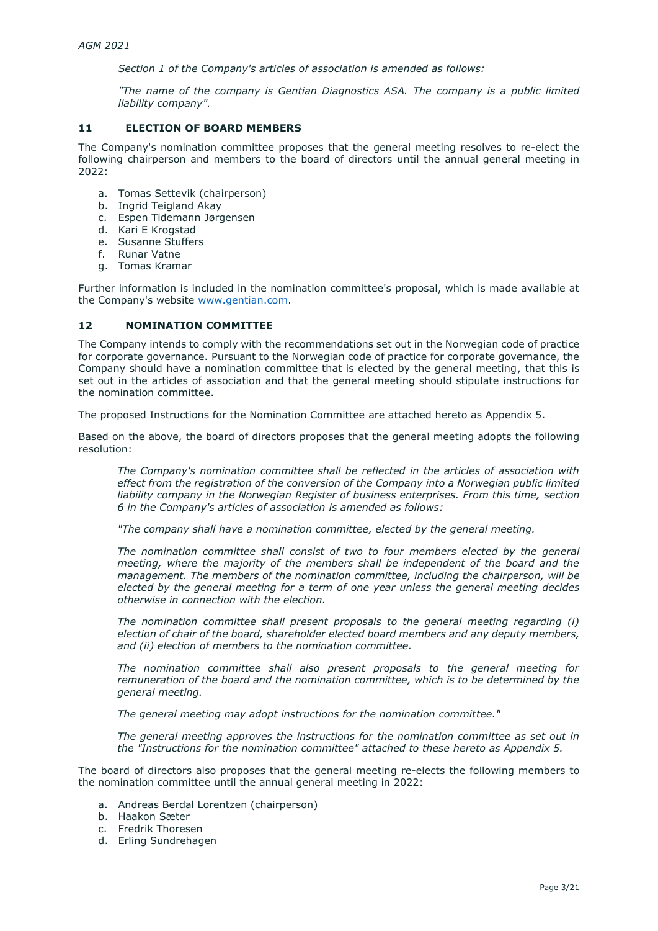*Section 1 of the Company's articles of association is amended as follows:*

*"The name of the company is Gentian Diagnostics ASA. The company is a public limited liability company".*

# **11 ELECTION OF BOARD MEMBERS**

The Company's nomination committee proposes that the general meeting resolves to re-elect the following chairperson and members to the board of directors until the annual general meeting in 2022:

- a. Tomas Settevik (chairperson)
- b. Ingrid Teigland Akay
- c. Espen Tidemann Jørgensen
- d. Kari E Krogstad
- e. Susanne Stuffers<br>f. Runar Vatne
- **Runar Vatne**
- g. Tomas Kramar

Further information is included in the nomination committee's proposal, which is made available at the Company's website [www.gentian.com.](http://www.gentian.com/)

#### **12 NOMINATION COMMITTEE**

The Company intends to comply with the recommendations set out in the Norwegian code of practice for corporate governance. Pursuant to the Norwegian code of practice for corporate governance, the Company should have a nomination committee that is elected by the general meeting, that this is set out in the articles of association and that the general meeting should stipulate instructions for the nomination committee.

The proposed Instructions for the Nomination Committee are attached hereto as Appendix 5.

Based on the above, the board of directors proposes that the general meeting adopts the following resolution:

*The Company's nomination committee shall be reflected in the articles of association with effect from the registration of the conversion of the Company into a Norwegian public limited liability company in the Norwegian Register of business enterprises. From this time, section 6 in the Company's articles of association is amended as follows:*

*"The company shall have a nomination committee, elected by the general meeting.* 

*The nomination committee shall consist of two to four members elected by the general meeting, where the majority of the members shall be independent of the board and the management. The members of the nomination committee, including the chairperson, will be elected by the general meeting for a term of one year unless the general meeting decides otherwise in connection with the election.*

*The nomination committee shall present proposals to the general meeting regarding (i) election of chair of the board, shareholder elected board members and any deputy members, and (ii) election of members to the nomination committee.*

*The nomination committee shall also present proposals to the general meeting for remuneration of the board and the nomination committee, which is to be determined by the general meeting.* 

*The general meeting may adopt instructions for the nomination committee."*

*The general meeting approves the instructions for the nomination committee as set out in the "Instructions for the nomination committee" attached to these hereto as Appendix 5.* 

The board of directors also proposes that the general meeting re-elects the following members to the nomination committee until the annual general meeting in 2022:

- a. Andreas Berdal Lorentzen (chairperson)
- b. Haakon Sæter
- c. Fredrik Thoresen
- d. Erling Sundrehagen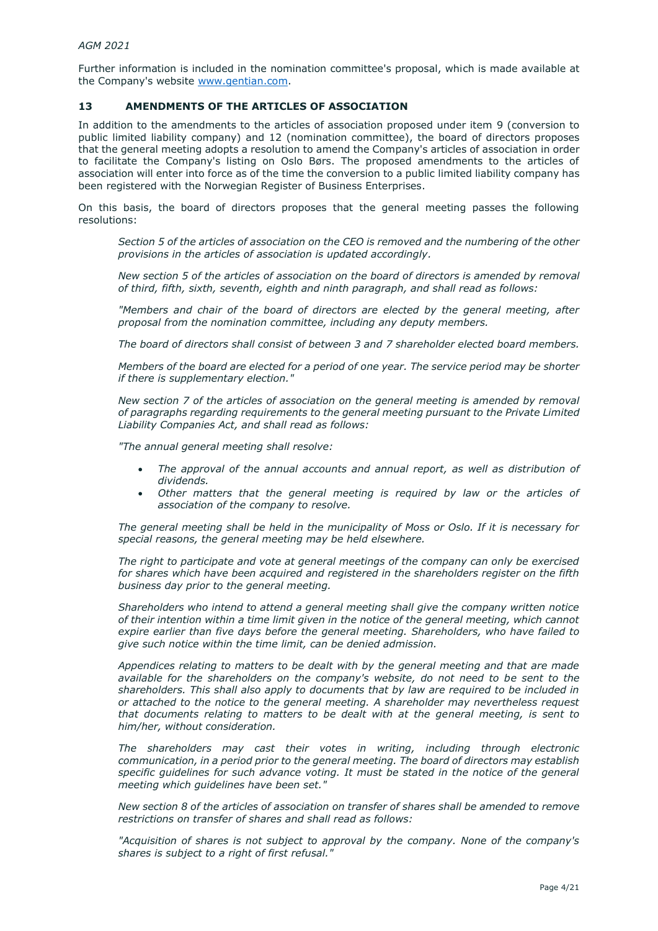Further information is included in the nomination committee's proposal, which is made available at the Company's website [www.gentian.com.](http://www.gentian.com/)

# **13 AMENDMENTS OF THE ARTICLES OF ASSOCIATION**

In addition to the amendments to the articles of association proposed under item 9 (conversion to public limited liability company) and 12 (nomination committee), the board of directors proposes that the general meeting adopts a resolution to amend the Company's articles of association in order to facilitate the Company's listing on Oslo Børs. The proposed amendments to the articles of association will enter into force as of the time the conversion to a public limited liability company has been registered with the Norwegian Register of Business Enterprises.

On this basis, the board of directors proposes that the general meeting passes the following resolutions:

*Section 5 of the articles of association on the CEO is removed and the numbering of the other provisions in the articles of association is updated accordingly.*

*New section 5 of the articles of association on the board of directors is amended by removal of third, fifth, sixth, seventh, eighth and ninth paragraph, and shall read as follows:*

*"Members and chair of the board of directors are elected by the general meeting, after proposal from the nomination committee, including any deputy members.* 

*The board of directors shall consist of between 3 and 7 shareholder elected board members.*

*Members of the board are elected for a period of one year. The service period may be shorter if there is supplementary election."*

*New section 7 of the articles of association on the general meeting is amended by removal of paragraphs regarding requirements to the general meeting pursuant to the Private Limited Liability Companies Act, and shall read as follows:* 

*"The annual general meeting shall resolve:*

- *The approval of the annual accounts and annual report, as well as distribution of dividends.*
- *Other matters that the general meeting is required by law or the articles of association of the company to resolve.*

*The general meeting shall be held in the municipality of Moss or Oslo. If it is necessary for special reasons, the general meeting may be held elsewhere.* 

*The right to participate and vote at general meetings of the company can only be exercised for shares which have been acquired and registered in the shareholders register on the fifth business day prior to the general meeting.*

*Shareholders who intend to attend a general meeting shall give the company written notice of their intention within a time limit given in the notice of the general meeting, which cannot expire earlier than five days before the general meeting. Shareholders, who have failed to give such notice within the time limit, can be denied admission.*

*Appendices relating to matters to be dealt with by the general meeting and that are made available for the shareholders on the company's website, do not need to be sent to the shareholders. This shall also apply to documents that by law are required to be included in or attached to the notice to the general meeting. A shareholder may nevertheless request that documents relating to matters to be dealt with at the general meeting, is sent to him/her, without consideration.* 

*The shareholders may cast their votes in writing, including through electronic communication, in a period prior to the general meeting. The board of directors may establish*  specific guidelines for such advance voting. It must be stated in the notice of the general *meeting which guidelines have been set."*

*New section 8 of the articles of association on transfer of shares shall be amended to remove restrictions on transfer of shares and shall read as follows:* 

*"Acquisition of shares is not subject to approval by the company. None of the company's shares is subject to a right of first refusal."*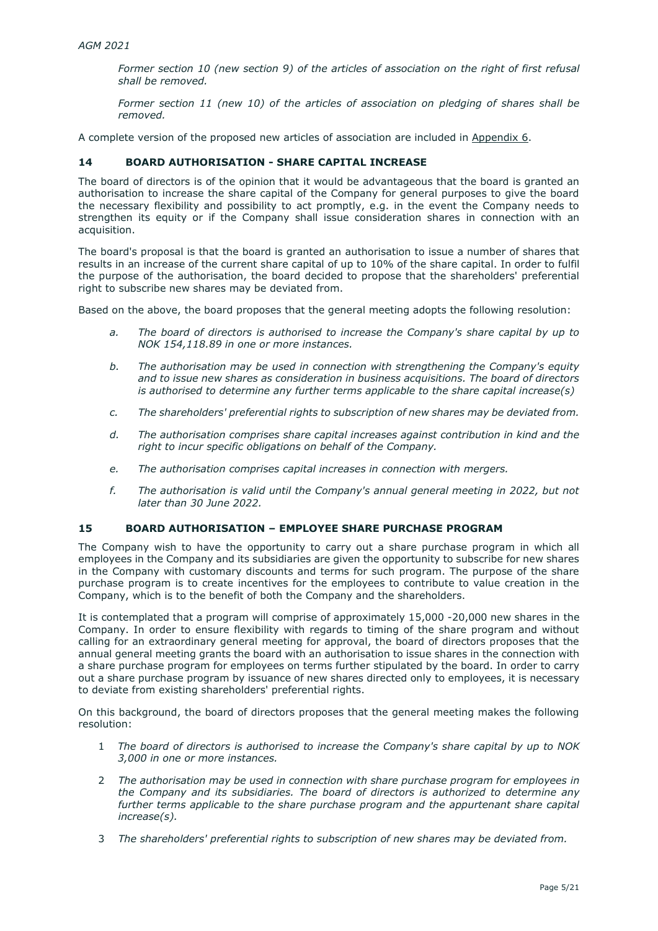*Former section 10 (new section 9) of the articles of association on the right of first refusal shall be removed.* 

*Former section 11 (new 10) of the articles of association on pledging of shares shall be removed.* 

A complete version of the proposed new articles of association are included in Appendix 6.

# **14 BOARD AUTHORISATION - SHARE CAPITAL INCREASE**

The board of directors is of the opinion that it would be advantageous that the board is granted an authorisation to increase the share capital of the Company for general purposes to give the board the necessary flexibility and possibility to act promptly, e.g. in the event the Company needs to strengthen its equity or if the Company shall issue consideration shares in connection with an acquisition.

The board's proposal is that the board is granted an authorisation to issue a number of shares that results in an increase of the current share capital of up to 10% of the share capital. In order to fulfil the purpose of the authorisation, the board decided to propose that the shareholders' preferential right to subscribe new shares may be deviated from.

Based on the above, the board proposes that the general meeting adopts the following resolution:

- *a. The board of directors is authorised to increase the Company's share capital by up to NOK 154,118.89 in one or more instances.*
- *b. The authorisation may be used in connection with strengthening the Company's equity and to issue new shares as consideration in business acquisitions. The board of directors is authorised to determine any further terms applicable to the share capital increase(s)*
- *c. The shareholders' preferential rights to subscription of new shares may be deviated from.*
- *d. The authorisation comprises share capital increases against contribution in kind and the right to incur specific obligations on behalf of the Company.*
- *e. The authorisation comprises capital increases in connection with mergers.*
- *f. The authorisation is valid until the Company's annual general meeting in 2022, but not later than 30 June 2022.*

# **15 BOARD AUTHORISATION – EMPLOYEE SHARE PURCHASE PROGRAM**

The Company wish to have the opportunity to carry out a share purchase program in which all employees in the Company and its subsidiaries are given the opportunity to subscribe for new shares in the Company with customary discounts and terms for such program. The purpose of the share purchase program is to create incentives for the employees to contribute to value creation in the Company, which is to the benefit of both the Company and the shareholders.

It is contemplated that a program will comprise of approximately 15,000 -20,000 new shares in the Company. In order to ensure flexibility with regards to timing of the share program and without calling for an extraordinary general meeting for approval, the board of directors proposes that the annual general meeting grants the board with an authorisation to issue shares in the connection with a share purchase program for employees on terms further stipulated by the board. In order to carry out a share purchase program by issuance of new shares directed only to employees, it is necessary to deviate from existing shareholders' preferential rights.

On this background, the board of directors proposes that the general meeting makes the following resolution:

- 1 *The board of directors is authorised to increase the Company's share capital by up to NOK 3,000 in one or more instances.*
- 2 *The authorisation may be used in connection with share purchase program for employees in the Company and its subsidiaries. The board of directors is authorized to determine any further terms applicable to the share purchase program and the appurtenant share capital increase(s).*
- 3 *The shareholders' preferential rights to subscription of new shares may be deviated from.*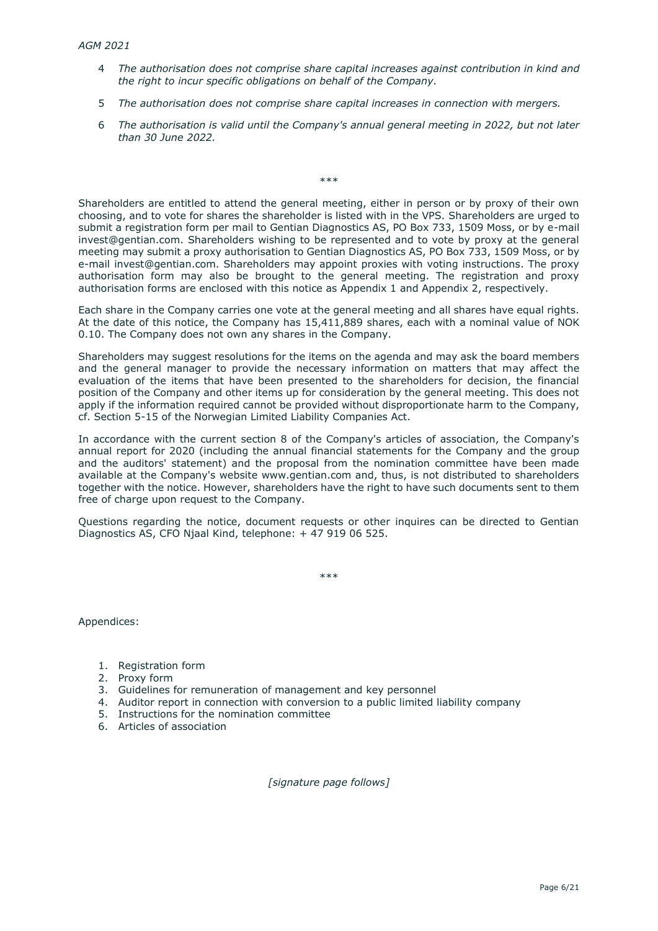- 4 *The authorisation does not comprise share capital increases against contribution in kind and the right to incur specific obligations on behalf of the Company.*
- 5 *The authorisation does not comprise share capital increases in connection with mergers.*
- 6 *The authorisation is valid until the Company's annual general meeting in 2022, but not later than 30 June 2022.*

Shareholders are entitled to attend the general meeting, either in person or by proxy of their own choosing, and to vote for shares the shareholder is listed with in the VPS. Shareholders are urged to submit a registration form per mail to Gentian Diagnostics AS, PO Box 733, 1509 Moss, or by e-mail invest@gentian.com. Shareholders wishing to be represented and to vote by proxy at the general meeting may submit a proxy authorisation to Gentian Diagnostics AS, PO Box 733, 1509 Moss, or by e-mail invest@gentian.com. Shareholders may appoint proxies with voting instructions. The proxy authorisation form may also be brought to the general meeting. The registration and proxy authorisation forms are enclosed with this notice as Appendix 1 and Appendix 2, respectively.

\*\*\*

Each share in the Company carries one vote at the general meeting and all shares have equal rights. At the date of this notice, the Company has 15,411,889 shares, each with a nominal value of NOK 0.10. The Company does not own any shares in the Company.

Shareholders may suggest resolutions for the items on the agenda and may ask the board members and the general manager to provide the necessary information on matters that may affect the evaluation of the items that have been presented to the shareholders for decision, the financial position of the Company and other items up for consideration by the general meeting. This does not apply if the information required cannot be provided without disproportionate harm to the Company, cf. Section 5-15 of the Norwegian Limited Liability Companies Act.

In accordance with the current section 8 of the Company's articles of association, the Company's annual report for 2020 (including the annual financial statements for the Company and the group and the auditors' statement) and the proposal from the nomination committee have been made available at the Company's website www.gentian.com and, thus, is not distributed to shareholders together with the notice. However, shareholders have the right to have such documents sent to them free of charge upon request to the Company.

Questions regarding the notice, document requests or other inquires can be directed to Gentian Diagnostics AS, CFO Njaal Kind, telephone: + 47 919 06 525.

\*\*\*

Appendices:

- 1. Registration form
- 2. Proxy form
- 3. Guidelines for remuneration of management and key personnel
- 4. Auditor report in connection with conversion to a public limited liability company
- 5. Instructions for the nomination committee
- 6. Articles of association

*[signature page follows]*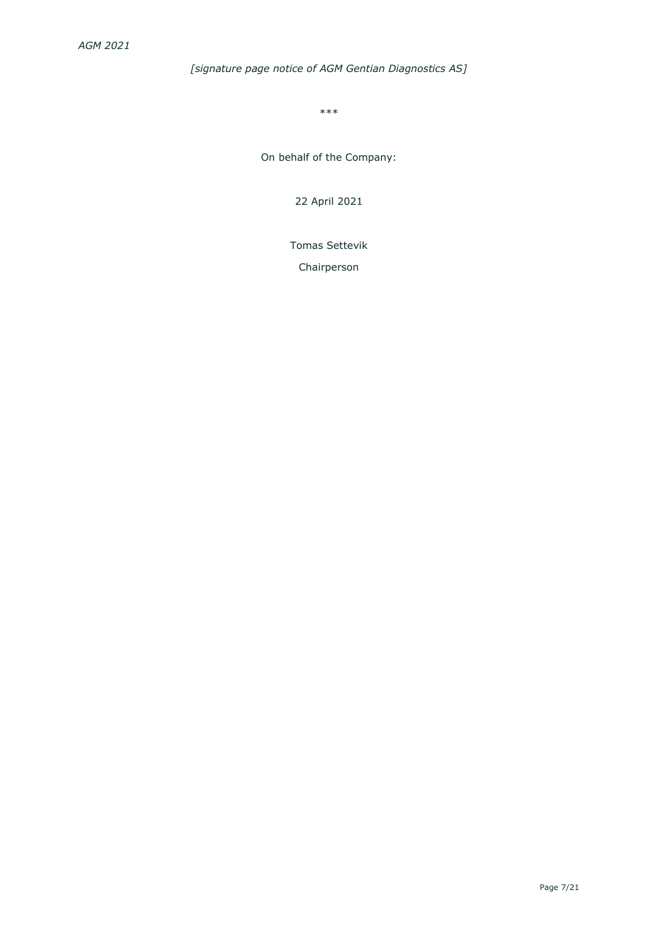# *[signature page notice of AGM Gentian Diagnostics AS]*

\*\*\*

On behalf of the Company:

22 April 2021

Tomas Settevik

Chairperson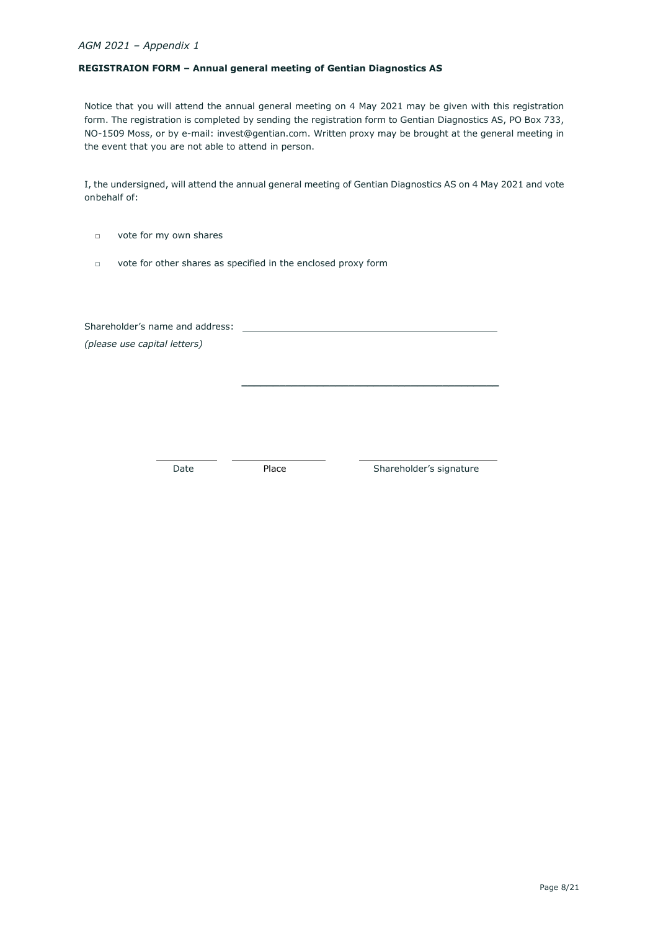### **REGISTRAION FORM – Annual general meeting of Gentian Diagnostics AS**

Notice that you will attend the annual general meeting on 4 May 2021 may be given with this registration form. The registration is completed by sending the registration form to Gentian Diagnostics AS, PO Box 733, NO-1509 Moss, or by e-mail: [invest@gentian.com. W](mailto:invest@gentian.com)ritten proxy may be brought at the general meeting in the event that you are not able to attend in person.

I, the undersigned, will attend the annual general meeting of Gentian Diagnostics AS on 4 May 2021 and vote onbehalf of:

- □ vote for my own shares
- □ vote for other shares as specified in the enclosed proxy form

Shareholder's name and address: *(please use capital letters)*

 **\_\_\_\_\_\_\_\_\_\_\_\_\_\_\_\_\_\_\_\_\_\_\_\_\_\_\_\_\_\_\_\_\_\_\_\_\_\_\_\_\_**

Date Place Place Shareholder's signature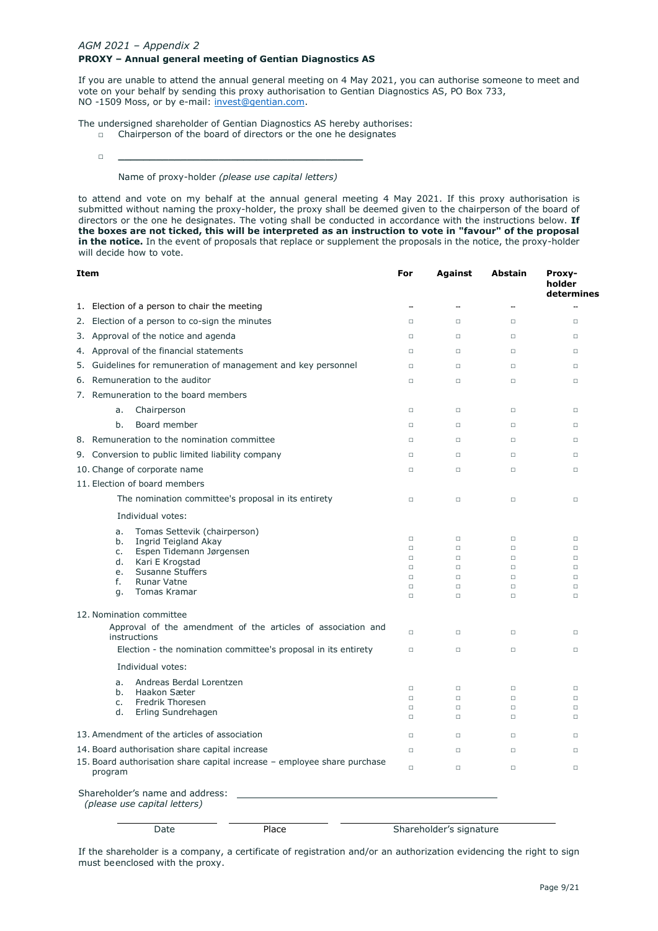## *AGM 2021 – Appendix 2* **PROXY – Annual general meeting of Gentian Diagnostics AS**

If you are unable to attend the annual general meeting on 4 May 2021, you can authorise someone to meet and vote on your behalf by sending this proxy authorisation to Gentian Diagnostics AS, PO Box 733, NO -1509 Moss, or by e-mail: [invest@gentian.com.](mailto:invest@gentian.com)

The undersigned shareholder of Gentian Diagnostics AS hereby authorises:

- □ Chairperson of the board of directors or the one he designates
- □ **\_\_\_\_\_\_\_\_\_\_\_\_\_\_\_\_\_\_\_\_\_\_\_\_\_\_\_\_\_\_\_\_\_\_\_\_\_\_\_**

# Name of proxy-holder *(please use capital letters)*

to attend and vote on my behalf at the annual general meeting 4 May 2021. If this proxy authorisation is submitted without naming the proxy-holder, the proxy shall be deemed given to the chairperson of the board of directors or the one he designates. The voting shall be conducted in accordance with the instructions below. **If the boxes are not ticked, this will be interpreted as an instruction to vote in "favour" of the proposal in the notice.** In the event of proposals that replace or supplement the proposals in the notice, the proxy-holder will decide how to vote.

| Item                                                                                |                                                                                                                                                                                                                |                                                                | For                                                                | Against                                                            | Abstain                                                            | Proxy-<br>holder<br>determines                                     |
|-------------------------------------------------------------------------------------|----------------------------------------------------------------------------------------------------------------------------------------------------------------------------------------------------------------|----------------------------------------------------------------|--------------------------------------------------------------------|--------------------------------------------------------------------|--------------------------------------------------------------------|--------------------------------------------------------------------|
|                                                                                     | 1. Election of a person to chair the meeting                                                                                                                                                                   |                                                                |                                                                    | $\overline{\phantom{a}}$                                           |                                                                    | Ξ.                                                                 |
| 2.                                                                                  | Election of a person to co-sign the minutes                                                                                                                                                                    |                                                                | $\Box$                                                             | $\Box$                                                             | $\Box$                                                             | $\Box$                                                             |
|                                                                                     | 3. Approval of the notice and agenda                                                                                                                                                                           |                                                                | $\Box$                                                             | $\Box$                                                             | $\Box$                                                             | $\Box$                                                             |
| 4.                                                                                  | Approval of the financial statements                                                                                                                                                                           |                                                                | $\Box$                                                             | $\Box$                                                             | $\Box$                                                             | $\Box$                                                             |
|                                                                                     | 5. Guidelines for remuneration of management and key personnel                                                                                                                                                 |                                                                | $\Box$                                                             | $\Box$                                                             | $\Box$                                                             | $\Box$                                                             |
|                                                                                     | 6. Remuneration to the auditor                                                                                                                                                                                 |                                                                | $\Box$                                                             | $\Box$                                                             | $\Box$                                                             | $\Box$                                                             |
|                                                                                     | 7. Remuneration to the board members                                                                                                                                                                           |                                                                |                                                                    |                                                                    |                                                                    |                                                                    |
|                                                                                     | Chairperson<br>a.                                                                                                                                                                                              |                                                                | $\Box$                                                             | $\Box$                                                             | $\Box$                                                             | $\Box$                                                             |
|                                                                                     | Board member<br>b.                                                                                                                                                                                             |                                                                | $\Box$                                                             | $\Box$                                                             | $\Box$                                                             | $\Box$                                                             |
|                                                                                     | 8. Remuneration to the nomination committee                                                                                                                                                                    |                                                                | $\Box$                                                             | $\Box$                                                             | $\Box$                                                             | $\Box$                                                             |
|                                                                                     | 9. Conversion to public limited liability company                                                                                                                                                              |                                                                | $\Box$                                                             | $\Box$                                                             | $\Box$                                                             | $\Box$                                                             |
|                                                                                     | 10. Change of corporate name                                                                                                                                                                                   |                                                                | $\Box$                                                             | $\Box$                                                             | $\Box$                                                             | $\Box$                                                             |
|                                                                                     | 11. Election of board members                                                                                                                                                                                  |                                                                |                                                                    |                                                                    |                                                                    |                                                                    |
|                                                                                     | The nomination committee's proposal in its entirety                                                                                                                                                            |                                                                | $\Box$                                                             | $\Box$                                                             | $\Box$                                                             | $\Box$                                                             |
|                                                                                     | Individual votes:                                                                                                                                                                                              |                                                                |                                                                    |                                                                    |                                                                    |                                                                    |
|                                                                                     | Tomas Settevik (chairperson)<br>a.<br>Ingrid Teigland Akay<br>b.<br>Espen Tidemann Jørgensen<br>c.<br>Kari E Krogstad<br>d.<br><b>Susanne Stuffers</b><br>e.<br><b>Runar Vatne</b><br>f.<br>Tomas Kramar<br>q. |                                                                | $\Box$<br>$\Box$<br>$\Box$<br>$\Box$<br>$\Box$<br>$\Box$<br>$\Box$ | $\Box$<br>$\Box$<br>$\Box$<br>$\Box$<br>$\Box$<br>$\Box$<br>$\Box$ | $\Box$<br>$\Box$<br>$\Box$<br>$\Box$<br>$\Box$<br>$\Box$<br>$\Box$ | $\Box$<br>$\Box$<br>$\Box$<br>$\Box$<br>$\Box$<br>$\Box$<br>$\Box$ |
|                                                                                     | 12. Nomination committee                                                                                                                                                                                       |                                                                |                                                                    |                                                                    |                                                                    |                                                                    |
|                                                                                     | instructions                                                                                                                                                                                                   | Approval of the amendment of the articles of association and   | $\Box$                                                             | $\Box$                                                             | $\Box$                                                             | $\Box$                                                             |
|                                                                                     |                                                                                                                                                                                                                | Election - the nomination committee's proposal in its entirety | $\Box$                                                             | $\Box$                                                             | $\Box$                                                             | $\Box$                                                             |
|                                                                                     | Individual votes:                                                                                                                                                                                              |                                                                |                                                                    |                                                                    |                                                                    |                                                                    |
|                                                                                     | Andreas Berdal Lorentzen<br>a.                                                                                                                                                                                 |                                                                | $\Box$                                                             | $\Box$                                                             | $\Box$                                                             | $\Box$                                                             |
|                                                                                     | b.<br>Haakon Sæter<br>Fredrik Thoresen<br>c.                                                                                                                                                                   |                                                                | $\Box$                                                             | $\Box$                                                             | $\Box$                                                             | $\Box$                                                             |
|                                                                                     | d.<br>Erling Sundrehagen                                                                                                                                                                                       |                                                                | $\Box$<br>$\Box$                                                   | $\Box$<br>$\Box$                                                   | $\Box$<br>$\Box$                                                   | $\Box$<br>$\Box$                                                   |
| 13. Amendment of the articles of association                                        |                                                                                                                                                                                                                |                                                                | $\Box$                                                             | $\Box$                                                             | $\Box$                                                             | $\Box$                                                             |
| 14. Board authorisation share capital increase                                      |                                                                                                                                                                                                                |                                                                | $\Box$                                                             | $\Box$                                                             | $\Box$                                                             | $\Box$                                                             |
| 15. Board authorisation share capital increase - employee share purchase<br>program |                                                                                                                                                                                                                | $\Box$                                                         | $\Box$                                                             | $\Box$                                                             | $\Box$                                                             |                                                                    |
|                                                                                     | Shareholder's name and address:<br>(please use capital letters)                                                                                                                                                |                                                                |                                                                    |                                                                    |                                                                    |                                                                    |
|                                                                                     | Place<br>Date                                                                                                                                                                                                  |                                                                | Shareholder's signature                                            |                                                                    |                                                                    |                                                                    |

If the shareholder is a company, a certificate of registration and/or an authorization evidencing the right to sign must beenclosed with the proxy.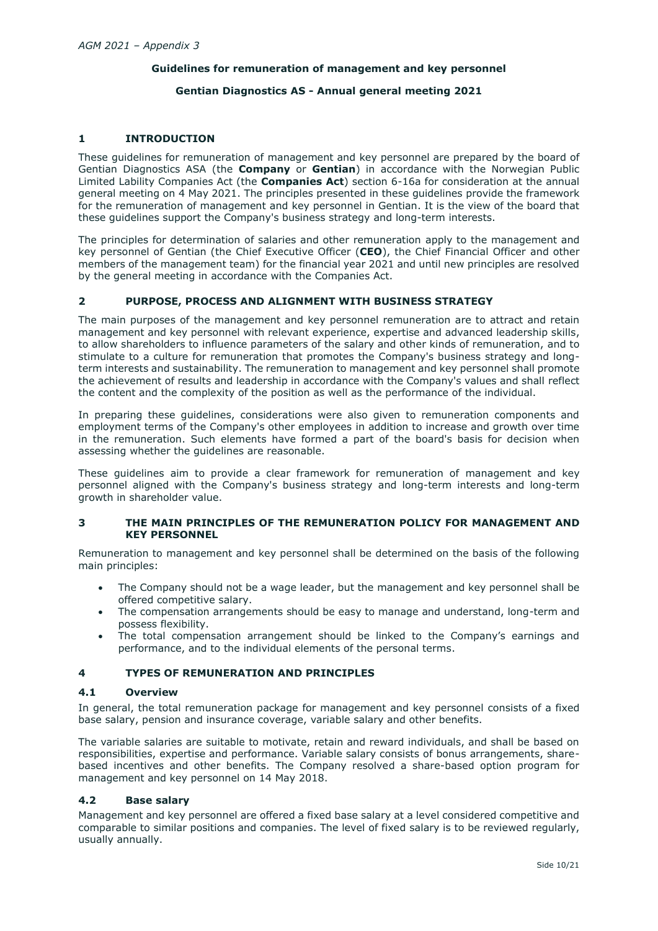# **Guidelines for remuneration of management and key personnel**

# **Gentian Diagnostics AS - Annual general meeting 2021**

# **1 INTRODUCTION**

These guidelines for remuneration of management and key personnel are prepared by the board of Gentian Diagnostics ASA (the **Company** or **Gentian**) in accordance with the Norwegian Public Limited Lability Companies Act (the **Companies Act**) section 6-16a for consideration at the annual general meeting on 4 May 2021. The principles presented in these guidelines provide the framework for the remuneration of management and key personnel in Gentian. It is the view of the board that these guidelines support the Company's business strategy and long-term interests.

The principles for determination of salaries and other remuneration apply to the management and key personnel of Gentian (the Chief Executive Officer (**CEO**), the Chief Financial Officer and other members of the management team) for the financial year 2021 and until new principles are resolved by the general meeting in accordance with the Companies Act.

# **2 PURPOSE, PROCESS AND ALIGNMENT WITH BUSINESS STRATEGY**

The main purposes of the management and key personnel remuneration are to attract and retain management and key personnel with relevant experience, expertise and advanced leadership skills, to allow shareholders to influence parameters of the salary and other kinds of remuneration, and to stimulate to a culture for remuneration that promotes the Company's business strategy and longterm interests and sustainability. The remuneration to management and key personnel shall promote the achievement of results and leadership in accordance with the Company's values and shall reflect the content and the complexity of the position as well as the performance of the individual.

In preparing these guidelines, considerations were also given to remuneration components and employment terms of the Company's other employees in addition to increase and growth over time in the remuneration. Such elements have formed a part of the board's basis for decision when assessing whether the guidelines are reasonable.

These guidelines aim to provide a clear framework for remuneration of management and key personnel aligned with the Company's business strategy and long-term interests and long-term growth in shareholder value.

# **3 THE MAIN PRINCIPLES OF THE REMUNERATION POLICY FOR MANAGEMENT AND KEY PERSONNEL**

Remuneration to management and key personnel shall be determined on the basis of the following main principles:

- The Company should not be a wage leader, but the management and key personnel shall be offered competitive salary.
- The compensation arrangements should be easy to manage and understand, long-term and possess flexibility.
- The total compensation arrangement should be linked to the Company's earnings and performance, and to the individual elements of the personal terms.

# **4 TYPES OF REMUNERATION AND PRINCIPLES**

# **4.1 Overview**

In general, the total remuneration package for management and key personnel consists of a fixed base salary, pension and insurance coverage, variable salary and other benefits.

The variable salaries are suitable to motivate, retain and reward individuals, and shall be based on responsibilities, expertise and performance. Variable salary consists of bonus arrangements, sharebased incentives and other benefits. The Company resolved a share-based option program for management and key personnel on 14 May 2018.

# **4.2 Base salary**

Management and key personnel are offered a fixed base salary at a level considered competitive and comparable to similar positions and companies. The level of fixed salary is to be reviewed regularly, usually annually.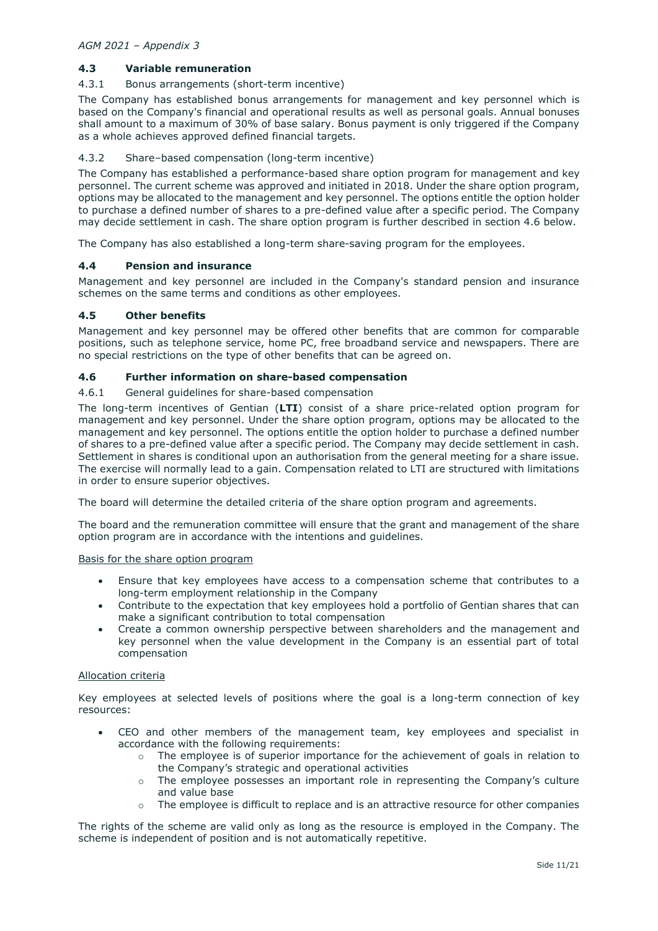# **4.3 Variable remuneration**

# 4.3.1 Bonus arrangements (short-term incentive)

The Company has established bonus arrangements for management and key personnel which is based on the Company's financial and operational results as well as personal goals. Annual bonuses shall amount to a maximum of 30% of base salary. Bonus payment is only triggered if the Company as a whole achieves approved defined financial targets.

# 4.3.2 Share–based compensation (long-term incentive)

The Company has established a performance-based share option program for management and key personnel. The current scheme was approved and initiated in 2018. Under the share option program, options may be allocated to the management and key personnel. The options entitle the option holder to purchase a defined number of shares to a pre-defined value after a specific period. The Company may decide settlement in cash. The share option program is further described in section [4.6](#page-10-0) below.

The Company has also established a long-term share-saving program for the employees.

#### **4.4 Pension and insurance**

Management and key personnel are included in the Company's standard pension and insurance schemes on the same terms and conditions as other employees.

#### **4.5 Other benefits**

Management and key personnel may be offered other benefits that are common for comparable positions, such as telephone service, home PC, free broadband service and newspapers. There are no special restrictions on the type of other benefits that can be agreed on.

### <span id="page-10-0"></span>**4.6 Further information on share-based compensation**

# 4.6.1 General guidelines for share-based compensation

The long-term incentives of Gentian (**LTI**) consist of a share price-related option program for management and key personnel. Under the share option program, options may be allocated to the management and key personnel. The options entitle the option holder to purchase a defined number of shares to a pre-defined value after a specific period. The Company may decide settlement in cash. Settlement in shares is conditional upon an authorisation from the general meeting for a share issue. The exercise will normally lead to a gain. Compensation related to LTI are structured with limitations in order to ensure superior objectives.

The board will determine the detailed criteria of the share option program and agreements.

The board and the remuneration committee will ensure that the grant and management of the share option program are in accordance with the intentions and guidelines.

#### Basis for the share option program

- Ensure that key employees have access to a compensation scheme that contributes to a long-term employment relationship in the Company
- Contribute to the expectation that key employees hold a portfolio of Gentian shares that can make a significant contribution to total compensation
- Create a common ownership perspective between shareholders and the management and key personnel when the value development in the Company is an essential part of total compensation

### Allocation criteria

Key employees at selected levels of positions where the goal is a long-term connection of key resources:

- CEO and other members of the management team, key employees and specialist in accordance with the following requirements:
	- $\circ$  The employee is of superior importance for the achievement of goals in relation to the Company's strategic and operational activities
	- o The employee possesses an important role in representing the Company's culture and value base
	- o The employee is difficult to replace and is an attractive resource for other companies

The rights of the scheme are valid only as long as the resource is employed in the Company. The scheme is independent of position and is not automatically repetitive.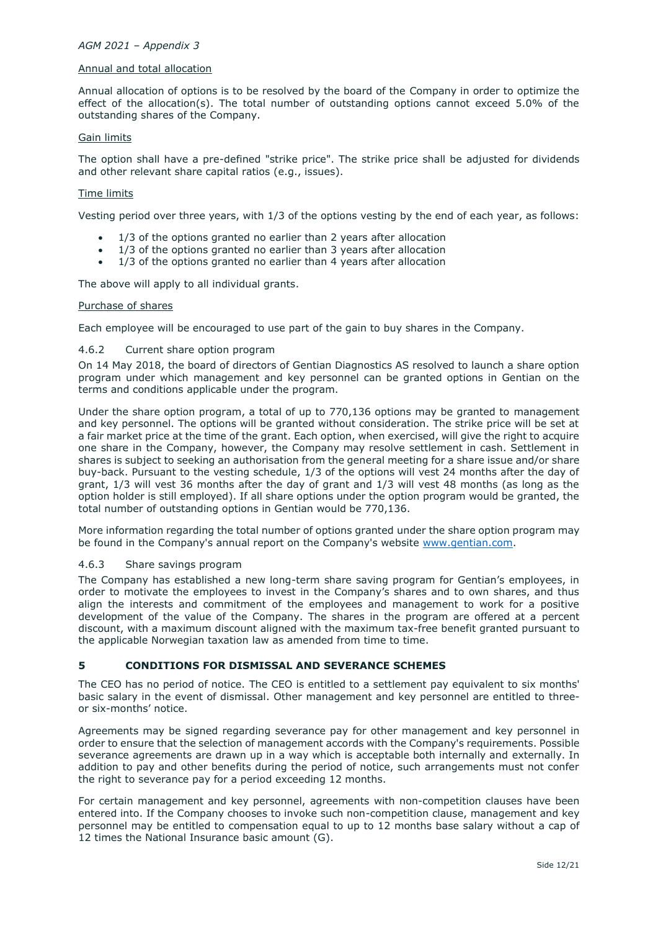### Annual and total allocation

Annual allocation of options is to be resolved by the board of the Company in order to optimize the effect of the allocation(s). The total number of outstanding options cannot exceed 5.0% of the outstanding shares of the Company.

#### Gain limits

The option shall have a pre-defined "strike price". The strike price shall be adjusted for dividends and other relevant share capital ratios (e.g., issues).

#### Time limits

Vesting period over three years, with 1/3 of the options vesting by the end of each year, as follows:

- 1/3 of the options granted no earlier than 2 years after allocation
- 1/3 of the options granted no earlier than 3 years after allocation
- $\bullet$  1/3 of the options granted no earlier than 4 years after allocation

The above will apply to all individual grants.

#### Purchase of shares

Each employee will be encouraged to use part of the gain to buy shares in the Company.

#### 4.6.2 Current share option program

On 14 May 2018, the board of directors of Gentian Diagnostics AS resolved to launch a share option program under which management and key personnel can be granted options in Gentian on the terms and conditions applicable under the program.

Under the share option program, a total of up to 770,136 options may be granted to management and key personnel. The options will be granted without consideration. The strike price will be set at a fair market price at the time of the grant. Each option, when exercised, will give the right to acquire one share in the Company, however, the Company may resolve settlement in cash. Settlement in shares is subject to seeking an authorisation from the general meeting for a share issue and/or share buy-back. Pursuant to the vesting schedule, 1/3 of the options will vest 24 months after the day of grant, 1/3 will vest 36 months after the day of grant and 1/3 will vest 48 months (as long as the option holder is still employed). If all share options under the option program would be granted, the total number of outstanding options in Gentian would be 770,136.

More information regarding the total number of options granted under the share option program may be found in the Company's annual report on the Company's website [www.gentian.com.](http://www.gentian.com/)

#### 4.6.3 Share savings program

The Company has established a new long-term share saving program for Gentian's employees, in order to motivate the employees to invest in the Company's shares and to own shares, and thus align the interests and commitment of the employees and management to work for a positive development of the value of the Company. The shares in the program are offered at a percent discount, with a maximum discount aligned with the maximum tax-free benefit granted pursuant to the applicable Norwegian taxation law as amended from time to time.

# **5 CONDITIONS FOR DISMISSAL AND SEVERANCE SCHEMES**

The CEO has no period of notice. The CEO is entitled to a settlement pay equivalent to six months' basic salary in the event of dismissal. Other management and key personnel are entitled to threeor six-months' notice.

Agreements may be signed regarding severance pay for other management and key personnel in order to ensure that the selection of management accords with the Company's requirements. Possible severance agreements are drawn up in a way which is acceptable both internally and externally. In addition to pay and other benefits during the period of notice, such arrangements must not confer the right to severance pay for a period exceeding 12 months.

For certain management and key personnel, agreements with non-competition clauses have been entered into. If the Company chooses to invoke such non-competition clause, management and key personnel may be entitled to compensation equal to up to 12 months base salary without a cap of 12 times the National Insurance basic amount (G).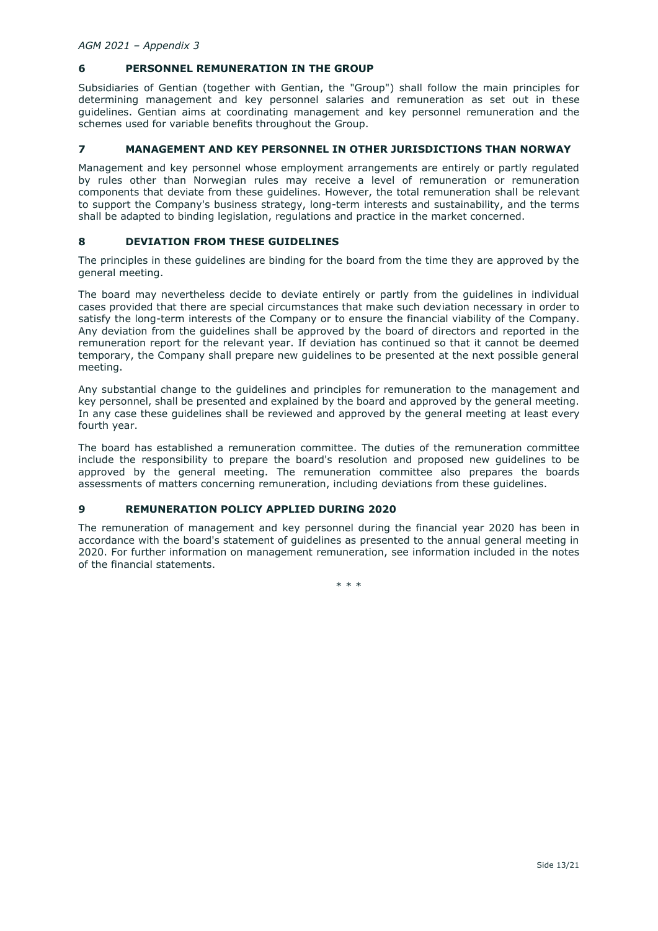# **6 PERSONNEL REMUNERATION IN THE GROUP**

Subsidiaries of Gentian (together with Gentian, the "Group") shall follow the main principles for determining management and key personnel salaries and remuneration as set out in these guidelines. Gentian aims at coordinating management and key personnel remuneration and the schemes used for variable benefits throughout the Group.

# **7 MANAGEMENT AND KEY PERSONNEL IN OTHER JURISDICTIONS THAN NORWAY**

Management and key personnel whose employment arrangements are entirely or partly regulated by rules other than Norwegian rules may receive a level of remuneration or remuneration components that deviate from these guidelines. However, the total remuneration shall be relevant to support the Company's business strategy, long-term interests and sustainability, and the terms shall be adapted to binding legislation, regulations and practice in the market concerned.

# **8 DEVIATION FROM THESE GUIDELINES**

The principles in these guidelines are binding for the board from the time they are approved by the general meeting.

The board may nevertheless decide to deviate entirely or partly from the guidelines in individual cases provided that there are special circumstances that make such deviation necessary in order to satisfy the long-term interests of the Company or to ensure the financial viability of the Company. Any deviation from the guidelines shall be approved by the board of directors and reported in the remuneration report for the relevant year. If deviation has continued so that it cannot be deemed temporary, the Company shall prepare new guidelines to be presented at the next possible general meeting.

Any substantial change to the guidelines and principles for remuneration to the management and key personnel, shall be presented and explained by the board and approved by the general meeting. In any case these guidelines shall be reviewed and approved by the general meeting at least every fourth year.

The board has established a remuneration committee. The duties of the remuneration committee include the responsibility to prepare the board's resolution and proposed new guidelines to be approved by the general meeting. The remuneration committee also prepares the boards assessments of matters concerning remuneration, including deviations from these guidelines.

# **9 REMUNERATION POLICY APPLIED DURING 2020**

The remuneration of management and key personnel during the financial year 2020 has been in accordance with the board's statement of guidelines as presented to the annual general meeting in 2020. For further information on management remuneration, see information included in the notes of the financial statements.

\* \* \*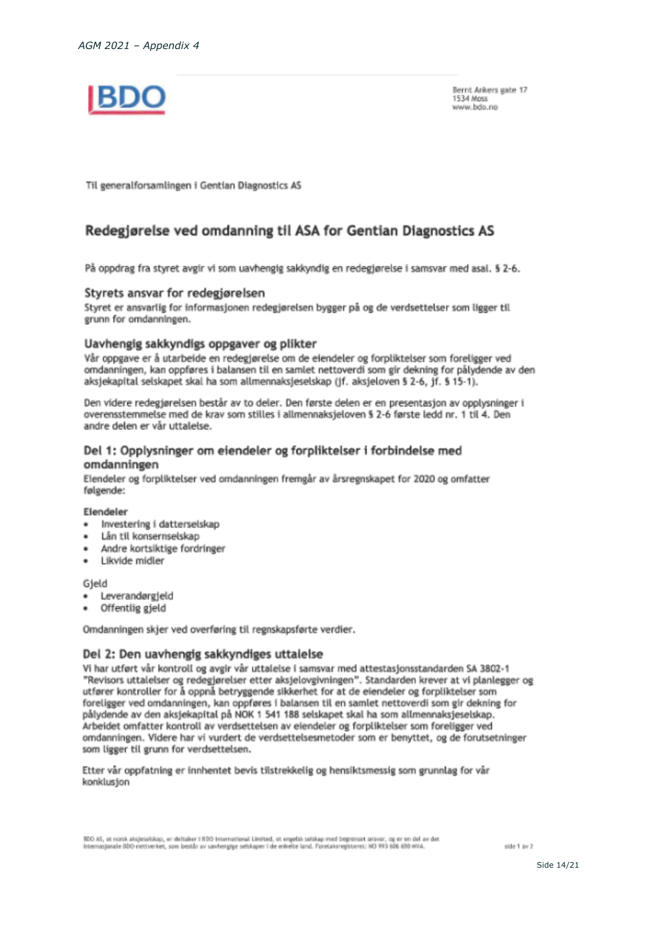

Bernt Ankers gate 17 1534 Moss www.hdo.nn

Til generalforsamlingen i Gentian Diagnostics AS

# Redegjørelse ved omdanning til ASA for Gentian Diagnostics AS

På oppdrag fra styret avgir vi som uavhengig sakkyndig en redegjørelse i samsvar med asal. § 2-6.

# Styrets ansvar for redegjørelsen

Styret er ansvarlig for informasjonen redegjørelsen bygger på og de verdsettelser som ligger til grunn for omdanningen.

# Uavhengig sakkyndigs oppgaver og plikter

Vår oppgave er å utarbeide en redegiørelse om de eiendeler og forpliktelser som foreligger ved omdanningen, kan oppføres i balansen til en samlet nettoverdi som gir dekning for pålydende av den aksjekapital selskapet skal ha som allmennaksjeselskap (jf. aksjeloven § 2-6, jf. § 15-1).

Den videre redegjørelsen består av to deler. Den første delen er en presentasjon av opplysninger i overensstemmelse med de krav som stilles i allmennaksjeloven § 2-6 første ledd nr. 1 til 4. Den andre delen er vår uttalelse.

# Del 1: Opplysninger om eiendeler og forpliktelser i forbindelse med omdanningen

Eiendeler og forpliktelser ved omdanningen fremgår av årsregnskapet for 2020 og omfatter følgende:

#### Eiendeler

- ٠ Investering i datterselskap
- Lån til konsernselskap
- Andre kortsiktige fordringer
- Likvide midler ٠

Gjeld

- Leverandørgjeld
- Offentlig gjeld

Omdanningen skjer ved overføring til regnskapsførte verdier.

# Del 2: Den uavhengig sakkyndiges uttalelse

Vi har utført vår kontroll og avgir vår uttalelse i samsvar med attestasjonsstandarden SA 3802-1 "Revisors uttalelser og redegjørelser etter aksjelovgivningen". Standarden krever at vi planlegger og utfører kontroller for å oppnå betryggende sikkerhet for at de eiendeler og forpliktelser som foreligger ved omdanningen, kan oppføres i balansen til en samlet nettoverdi som gir dekning for pålydende av den aksjekapital på NOK 1 541 188 selskapet skal ha som allmennaksjeselskap. Arbeidet omfatter kontroll av verdsettelsen av eiendeler og forpliktelser som foreligger ved omdanningen. Videre har vi vurdert de verdsettelsesmetoder som er benyttet, og de forutsetninger som ligger til grunn for verdsettelsen.

Etter var oppfatning er innhentet bevis tilstrekkelig og hensiktsmessig som grunnlag for vår konklusjon

BDD AS, et norsk aksjesuitikap, er deltaker i BDD International Limited, et ongelsk sekkap med begrenset ansvar, og er en del av det augle BDD-nettverket, som består av vavhengige selskaper i de enkelte land. Foretalsregisteret: NO 993 606 650 AVA

side 1 av 2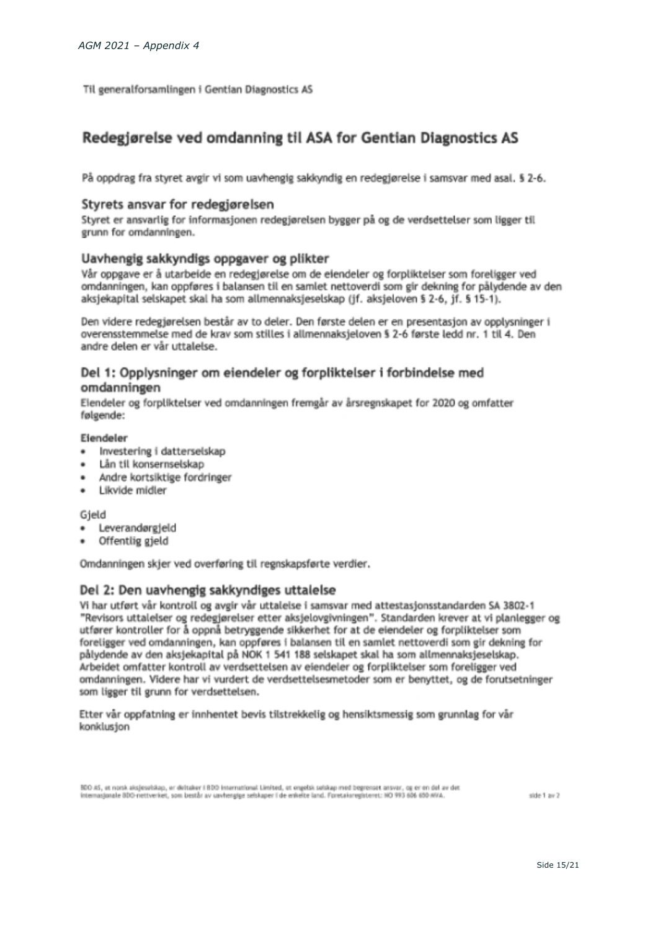Til generalforsamlingen i Gentian Diagnostics AS

# Redegjørelse ved omdanning til ASA for Gentian Diagnostics AS

På oppdrag fra styret avgir vi som uavhengig sakkyndig en redegjørelse i samsvar med asal. § 2-6.

# Styrets ansvar for redegiørelsen

Styret er ansvarlig for informasjonen redegjørelsen bygger på og de verdsettelser som ligger til grunn for omdanningen.

# Uavhengig sakkyndigs oppgaver og plikter

Vår oppgave er å utarbeide en redegjørelse om de eiendeler og forpliktelser som foreligger ved omdanningen, kan oppføres i balansen til en samlet nettoverdi som gir dekning for pålydende av den aksjekapital selskapet skal ha som allmennaksjeselskap (jf. aksjeloven § 2-6, jf. § 15-1).

Den videre redegiørelsen består av to deler. Den første delen er en presentasjon av opplysninger i overensstemmelse med de krav som stilles i allmennaksjeloven § 2-6 første ledd nr. 1 til 4. Den andre delen er vår uttalelse.

# Del 1: Opplysninger om eiendeler og forpliktelser i forbindelse med omdanningen

Eiendeler og forpliktelser ved omdanningen fremgår av årsregnskapet for 2020 og omfatter følgende:

# Eiendeler

- $\bullet$ Investering i datterselskap
- Lån til konsernselskap
- Andre kortsiktige fordringer
- · Likvide midler

# Gield

- · Leverandørgield
- Offentlig gjeld

Omdanningen skier ved overføring til regnskapsførte verdier.

# Del 2: Den uavhengig sakkyndiges uttalelse

Vi har utført vår kontroll og avgir vår uttalelse i samsvar med attestasjonsstandarden SA 3802-1 "Revisors uttalelser og redegiørelser etter aksielovgivningen". Standarden krever at vi planlegger og utfører kontroller for å oppnå betryggende sikkerhet for at de eiendeler og forpliktelser som foreligger ved omdanningen, kan oppføres i balansen til en samlet nettoverdi som gir dekning for pålydende av den aksjekapital på NOK 1 541 188 selskapet skal ha som allmennaksjeselskap. Arbeidet omfatter kontroll av verdsettelsen av eiendeler og forpliktelser som foreligger ved omdanningen. Videre har vi vurdert de verdsettelsesmetoder som er benyttet, og de forutsetninger som ligger til grunn for verdsettelsen.

Etter vår oppfatning er innhentet bevis tilstrekkelig og hensiktsmessig som grunnlag for vår konklusion

BDD AS, et norsk aksjesuitskop, er deltaker i BDD international Limited, et ongelsk selskap med begrenset ansvar, og er en del av det internationale (ID) nettyeriet, som bettår av unvhenstor selskaper i de enkelte land. Foretakuresistenet: NO 993 656-855 att/a

side 1 av 2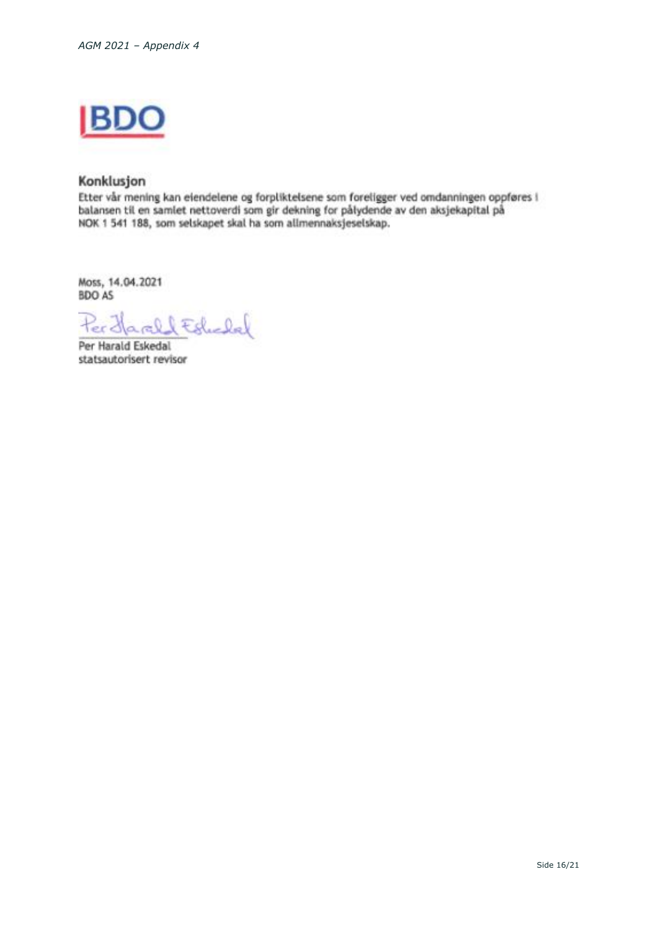

# Konklusjon

Etter vår mening kan eiendelene og forpliktelsene som foreligger ved omdanningen oppføres i balansen til en samlet nettoverdi som gir dekning for pålydende av den aksjekapital på NOK 1 541 188, som selskapet skal ha som allmennaksjeselskap.

Moss, 14.04.2021 BDO AS

lEdulal ų

Per Harald Eskedal statsautorisert revisor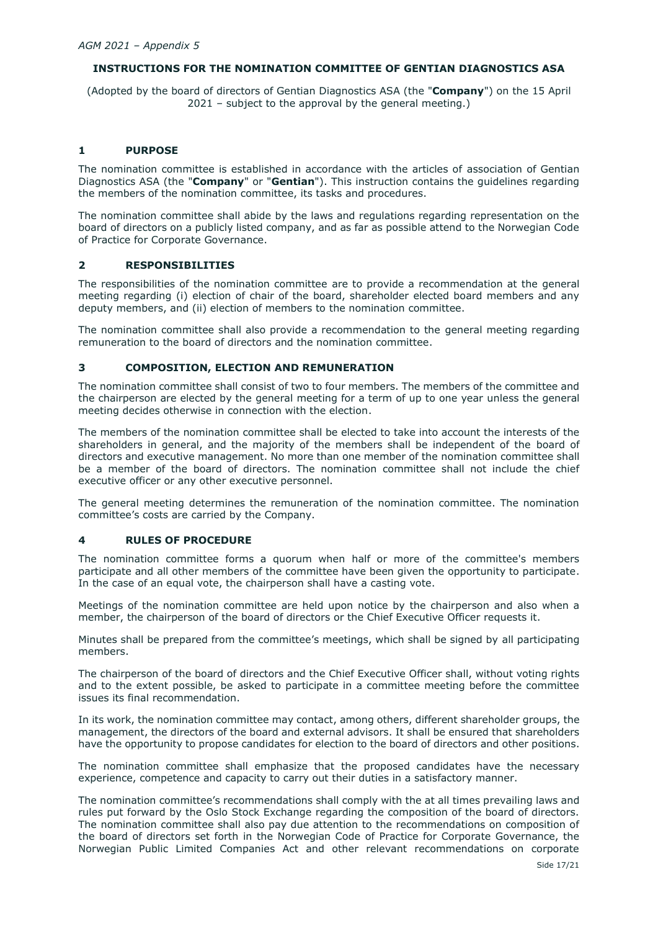# **INSTRUCTIONS FOR THE NOMINATION COMMITTEE OF GENTIAN DIAGNOSTICS ASA**

(Adopted by the board of directors of Gentian Diagnostics ASA (the "**Company**") on the 15 April 2021 – subject to the approval by the general meeting.)

# **1 PURPOSE**

The nomination committee is established in accordance with the articles of association of Gentian Diagnostics ASA (the "**Company**" or "**Gentian**"). This instruction contains the guidelines regarding the members of the nomination committee, its tasks and procedures.

The nomination committee shall abide by the laws and regulations regarding representation on the board of directors on a publicly listed company, and as far as possible attend to the Norwegian Code of Practice for Corporate Governance.

# **2 RESPONSIBILITIES**

The responsibilities of the nomination committee are to provide a recommendation at the general meeting regarding (i) election of chair of the board, shareholder elected board members and any deputy members, and (ii) election of members to the nomination committee.

The nomination committee shall also provide a recommendation to the general meeting regarding remuneration to the board of directors and the nomination committee.

# **3 COMPOSITION, ELECTION AND REMUNERATION**

The nomination committee shall consist of two to four members. The members of the committee and the chairperson are elected by the general meeting for a term of up to one year unless the general meeting decides otherwise in connection with the election.

The members of the nomination committee shall be elected to take into account the interests of the shareholders in general, and the majority of the members shall be independent of the board of directors and executive management. No more than one member of the nomination committee shall be a member of the board of directors. The nomination committee shall not include the chief executive officer or any other executive personnel.

The general meeting determines the remuneration of the nomination committee. The nomination committee's costs are carried by the Company.

# **4 RULES OF PROCEDURE**

The nomination committee forms a quorum when half or more of the committee's members participate and all other members of the committee have been given the opportunity to participate. In the case of an equal vote, the chairperson shall have a casting vote.

Meetings of the nomination committee are held upon notice by the chairperson and also when a member, the chairperson of the board of directors or the Chief Executive Officer requests it.

Minutes shall be prepared from the committee's meetings, which shall be signed by all participating members.

The chairperson of the board of directors and the Chief Executive Officer shall, without voting rights and to the extent possible, be asked to participate in a committee meeting before the committee issues its final recommendation.

In its work, the nomination committee may contact, among others, different shareholder groups, the management, the directors of the board and external advisors. It shall be ensured that shareholders have the opportunity to propose candidates for election to the board of directors and other positions.

The nomination committee shall emphasize that the proposed candidates have the necessary experience, competence and capacity to carry out their duties in a satisfactory manner.

The nomination committee's recommendations shall comply with the at all times prevailing laws and rules put forward by the Oslo Stock Exchange regarding the composition of the board of directors. The nomination committee shall also pay due attention to the recommendations on composition of the board of directors set forth in the Norwegian Code of Practice for Corporate Governance, the Norwegian Public Limited Companies Act and other relevant recommendations on corporate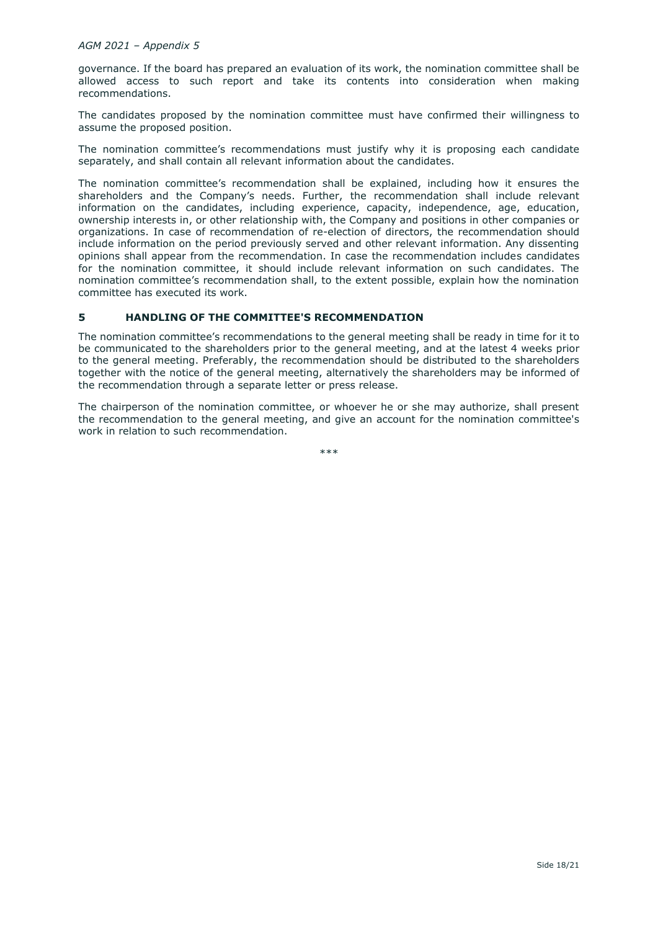governance. If the board has prepared an evaluation of its work, the nomination committee shall be allowed access to such report and take its contents into consideration when making recommendations.

The candidates proposed by the nomination committee must have confirmed their willingness to assume the proposed position.

The nomination committee's recommendations must justify why it is proposing each candidate separately, and shall contain all relevant information about the candidates.

The nomination committee's recommendation shall be explained, including how it ensures the shareholders and the Company's needs. Further, the recommendation shall include relevant information on the candidates, including experience, capacity, independence, age, education, ownership interests in, or other relationship with, the Company and positions in other companies or organizations. In case of recommendation of re-election of directors, the recommendation should include information on the period previously served and other relevant information. Any dissenting opinions shall appear from the recommendation. In case the recommendation includes candidates for the nomination committee, it should include relevant information on such candidates. The nomination committee's recommendation shall, to the extent possible, explain how the nomination committee has executed its work.

# **5 HANDLING OF THE COMMITTEE'S RECOMMENDATION**

The nomination committee's recommendations to the general meeting shall be ready in time for it to be communicated to the shareholders prior to the general meeting, and at the latest 4 weeks prior to the general meeting. Preferably, the recommendation should be distributed to the shareholders together with the notice of the general meeting, alternatively the shareholders may be informed of the recommendation through a separate letter or press release.

The chairperson of the nomination committee, or whoever he or she may authorize, shall present the recommendation to the general meeting, and give an account for the nomination committee's work in relation to such recommendation.

\*\*\*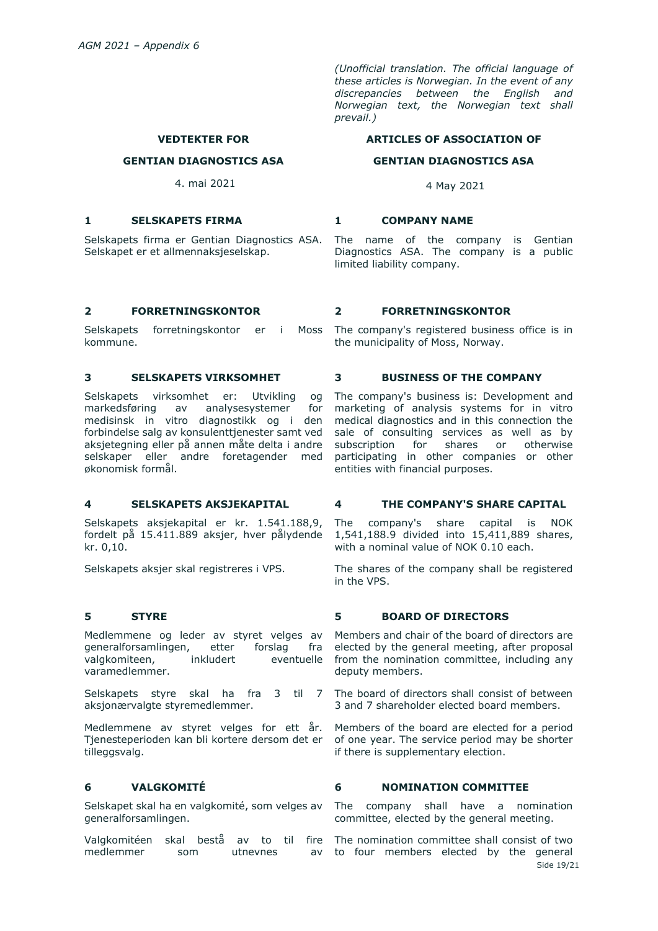*(Unofficial translation. The official language of these articles is Norwegian. In the event of any discrepancies between the English and Norwegian text, the Norwegian text shall prevail.)*

## **ARTICLES OF ASSOCIATION OF**

#### **GENTIAN DIAGNOSTICS ASA**

4 May 2021

#### **1 SELSKAPETS FIRMA 1 COMPANY NAME**

The name of the company is Gentian Diagnostics ASA. The company is a public limited liability company.

Selskapet er et allmennaksjeselskap.

Selskapets forretningskontor er i Moss kommune.

Selskapets virksomhet er: Utvikling og markedsføring av analysesystemer for medisinsk in vitro diagnostikk og i den forbindelse salg av konsulenttjenester samt ved aksjetegning eller på annen måte delta i andre selskaper eller andre foretagender med økonomisk formål.

Selskapets aksjekapital er kr. 1.541.188,9, fordelt på 15.411.889 aksjer, hver pålydende kr. 0,10.

Selskapets aksjer skal registreres i VPS.

Medlemmene og leder av styret velges av generalforsamlingen, etter forslag fra valgkomiteen, inkludert eventuelle varamedlemmer.

aksjonærvalgte styremedlemmer.

Medlemmene av styret velges for ett år. Tjenesteperioden kan bli kortere dersom det er tilleggsvalg.

Selskapet skal ha en valgkomité, som velges av generalforsamlingen.

Valgkomitéen skal bestå av to til fire The nomination committee shall consist of two medlemmer som utnevnes av

### **2 FORRETNINGSKONTOR 2 FORRETNINGSKONTOR**

The company's registered business office is in the municipality of Moss, Norway.

#### **3 SELSKAPETS VIRKSOMHET 3 BUSINESS OF THE COMPANY**

The company's business is: Development and marketing of analysis systems for in vitro medical diagnostics and in this connection the sale of consulting services as well as by subscription for shares or otherwise participating in other companies or other entities with financial purposes.

#### **4 SELSKAPETS AKSJEKAPITAL 4 THE COMPANY'S SHARE CAPITAL**

The company's share capital is NOK 1,541,188.9 divided into 15,411,889 shares, with a nominal value of NOK 0.10 each.

The shares of the company shall be registered in the VPS.

# **5 STYRE 5 BOARD OF DIRECTORS**

Members and chair of the board of directors are elected by the general meeting, after proposal from the nomination committee, including any deputy members.

Selskapets styre skal ha fra 3 til 7 The board of directors shall consist of between 3 and 7 shareholder elected board members.

> Members of the board are elected for a period of one year. The service period may be shorter if there is supplementary election.

# **6 VALGKOMITÉ 6 NOMINATION COMMITTEE**

The company shall have a nomination committee, elected by the general meeting.

Side 19/21 to four members elected by the general

#### **VEDTEKTER FOR**

#### **GENTIAN DIAGNOSTICS ASA**

4. mai 2021

Selskapets firma er Gentian Diagnostics ASA.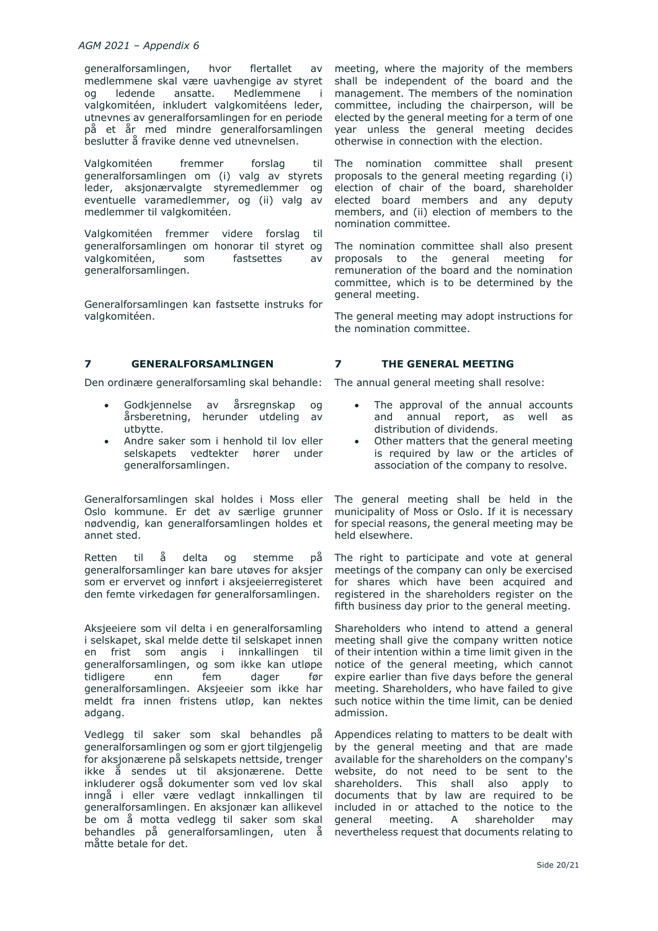generalforsamlingen, hvor flertallet av medlemmene skal være uavhengige av styret og ledende ansatte. Medlemmene i valgkomitéen, inkludert valgkomitéens leder, utnevnes av generalforsamlingen for en periode på et år med mindre generalforsamlingen beslutter å fravike denne ved utnevnelsen.

Valgkomitéen fremmer forslag til generalforsamlingen om (i) valg av styrets leder, aksjonærvalgte styremedlemmer og eventuelle varamedlemmer, og (ii) valg av medlemmer til valgkomitéen.

Valgkomitéen fremmer videre forslag til generalforsamlingen om honorar til styret og valgkomitéen, som fastsettes av generalforsamlingen.

Generalforsamlingen kan fastsette instruks for valgkomitéen.

# **7 GENERALFORSAMLINGEN 7 THE GENERAL MEETING**

Den ordinære generalforsamling skal behandle:

- Godkjennelse av årsregnskap og årsberetning, herunder utdeling av utbytte.
- Andre saker som i henhold til lov eller selskapets vedtekter hører under generalforsamlingen.

Generalforsamlingen skal holdes i Moss eller Oslo kommune. Er det av særlige grunner nødvendig, kan generalforsamlingen holdes et annet sted.

Retten til å delta og stemme på generalforsamlinger kan bare utøves for aksjer som er ervervet og innført i aksjeeierregisteret den femte virkedagen før generalforsamlingen.

Aksjeeiere som vil delta i en generalforsamling i selskapet, skal melde dette til selskapet innen en frist som angis i innkallingen til generalforsamlingen, og som ikke kan utløpe tidligere enn fem dager før generalforsamlingen. Aksjeeier som ikke har meldt fra innen fristens utløp, kan nektes adgang.

Vedlegg til saker som skal behandles på generalforsamlingen og som er gjort tilgjengelig for aksjonærene på selskapets nettside, trenger ikke å sendes ut til aksjonærene. Dette inkluderer også dokumenter som ved lov skal inngå i eller være vedlagt innkallingen til generalforsamlingen. En aksjonær kan allikevel be om å motta vedlegg til saker som skal behandles på generalforsamlingen, uten å måtte betale for det.

meeting, where the majority of the members shall be independent of the board and the management. The members of the nomination committee, including the chairperson, will be elected by the general meeting for a term of one year unless the general meeting decides otherwise in connection with the election.

The nomination committee shall present proposals to the general meeting regarding (i) election of chair of the board, shareholder elected board members and any deputy members, and (ii) election of members to the nomination committee.

The nomination committee shall also present proposals to the general meeting for remuneration of the board and the nomination committee, which is to be determined by the general meeting.

The general meeting may adopt instructions for the nomination committee.

The annual general meeting shall resolve:

- The approval of the annual accounts and annual report, as well as distribution of dividends.
- Other matters that the general meeting is required by law or the articles of association of the company to resolve.

The general meeting shall be held in the municipality of Moss or Oslo. If it is necessary for special reasons, the general meeting may be held elsewhere.

The right to participate and vote at general meetings of the company can only be exercised for shares which have been acquired and registered in the shareholders register on the fifth business day prior to the general meeting.

Shareholders who intend to attend a general meeting shall give the company written notice of their intention within a time limit given in the notice of the general meeting, which cannot expire earlier than five days before the general meeting. Shareholders, who have failed to give such notice within the time limit, can be denied admission.

Appendices relating to matters to be dealt with by the general meeting and that are made available for the shareholders on the company's website, do not need to be sent to the shareholders. This shall also apply to documents that by law are required to be included in or attached to the notice to the general meeting. A shareholder may nevertheless request that documents relating to